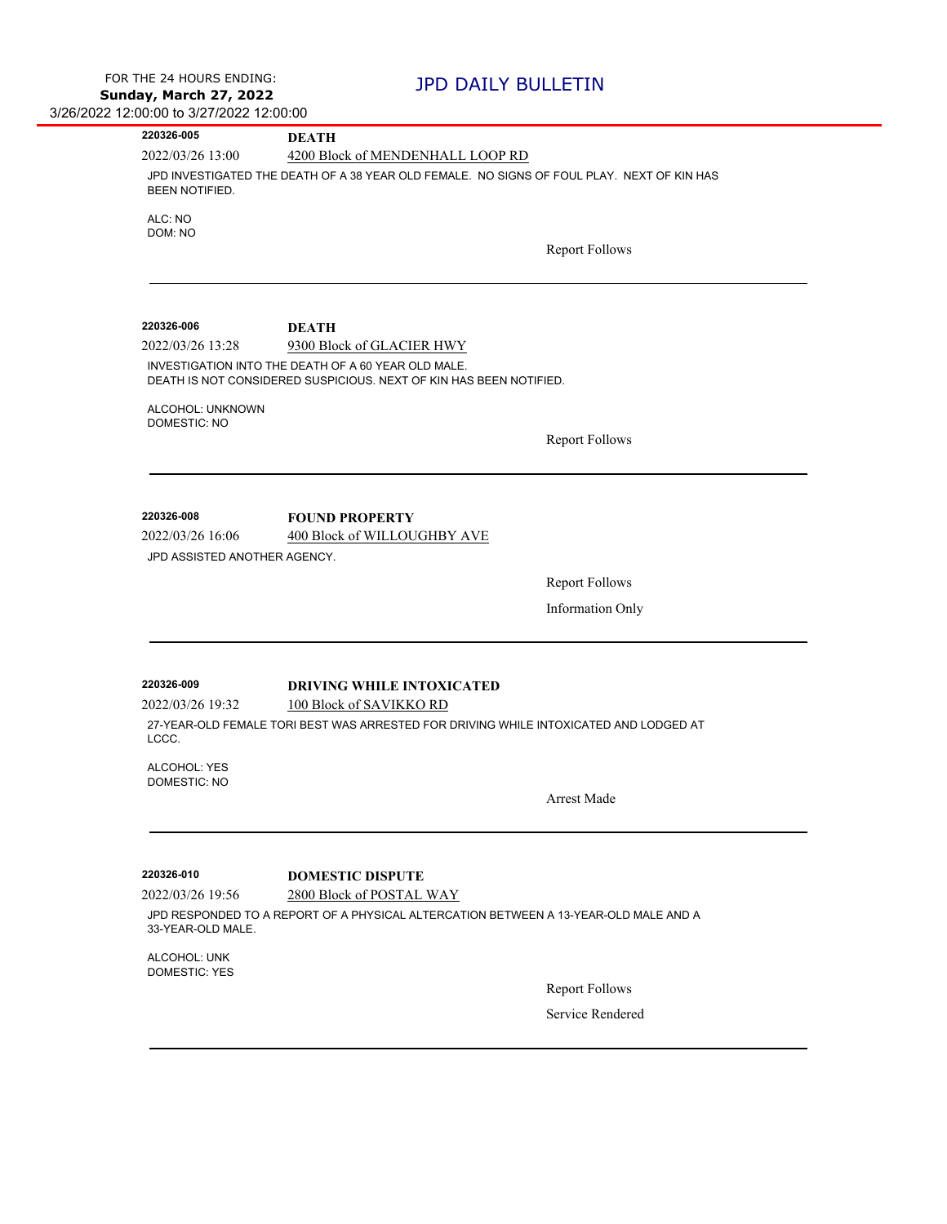| 220326-005                           | <b>DEATH</b>                                                                               |
|--------------------------------------|--------------------------------------------------------------------------------------------|
| 2022/03/26 13:00                     | 4200 Block of MENDENHALL LOOP RD                                                           |
| <b>BEEN NOTIFIED.</b>                | JPD INVESTIGATED THE DEATH OF A 38 YEAR OLD FEMALE. NO SIGNS OF FOUL PLAY. NEXT OF KIN HAS |
| ALC: NO<br>DOM: NO                   |                                                                                            |
|                                      | <b>Report Follows</b>                                                                      |
|                                      |                                                                                            |
| 220326-006                           | <b>DEATH</b>                                                                               |
| 2022/03/26 13:28                     | 9300 Block of GLACIER HWY                                                                  |
|                                      | INVESTIGATION INTO THE DEATH OF A 60 YEAR OLD MALE.                                        |
|                                      | DEATH IS NOT CONSIDERED SUSPICIOUS. NEXT OF KIN HAS BEEN NOTIFIED.                         |
| ALCOHOL: UNKNOWN<br>DOMESTIC: NO     |                                                                                            |
|                                      | <b>Report Follows</b>                                                                      |
|                                      |                                                                                            |
| 220326-008                           | <b>FOUND PROPERTY</b>                                                                      |
| 2022/03/26 16:06                     | 400 Block of WILLOUGHBY AVE                                                                |
| JPD ASSISTED ANOTHER AGENCY.         |                                                                                            |
|                                      | <b>Report Follows</b>                                                                      |
|                                      |                                                                                            |
|                                      | Information Only                                                                           |
|                                      |                                                                                            |
| 220326-009                           | <b>DRIVING WHILE INTOXICATED</b>                                                           |
| 2022/03/26 19:32                     | 100 Block of SAVIKKO RD                                                                    |
| LCCC.                                | 27-YEAR-OLD FEMALE TORI BEST WAS ARRESTED FOR DRIVING WHILE INTOXICATED AND LODGED AT      |
| ALCOHOL: YES                         |                                                                                            |
| <b>DOMESTIC: NO</b>                  | <b>Arrest Made</b>                                                                         |
|                                      |                                                                                            |
|                                      |                                                                                            |
| 220326-010                           | <b>DOMESTIC DISPUTE</b>                                                                    |
| 2022/03/26 19:56                     | 2800 Block of POSTAL WAY                                                                   |
| 33-YEAR-OLD MALE.                    | JPD RESPONDED TO A REPORT OF A PHYSICAL ALTERCATION BETWEEN A 13-YEAR-OLD MALE AND A       |
| ALCOHOL: UNK<br><b>DOMESTIC: YES</b> |                                                                                            |
|                                      | <b>Report Follows</b>                                                                      |
|                                      | Service Rendered                                                                           |
|                                      |                                                                                            |
|                                      |                                                                                            |